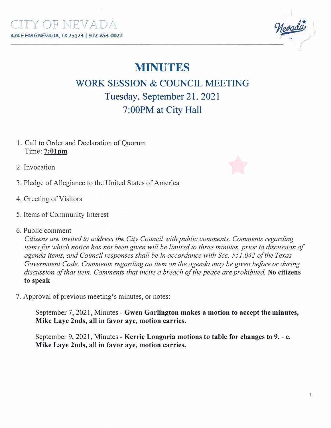Mevada

## **MINUTES**

**WORK SESSION & COUNCIL MEETING Tuesday, September 21, 2021 7 :00PM at City Hall** 

1. Call to Order and Declaration of Quorum Time: **7:01pm**

2. Invocation

- 3. Pledge of Allegiance to the United States of America
- 4. Greeting of Visitors
- 5. Items of Community Interest
- 6. Public comment

*Citizens are invited to address the City Council with public comments. Comments regarding items for which notice has not been given will be limited to three minutes, prior to discussion of agenda items, and Council responses shall be in accordance with Sec. 551.042 of the Texas Government Code. Comments regarding an item on the agenda may be given before or during discussion of that item. Comments that incite a breach of the peace are prohibited.* **No citizens to speak**

7. Approval of previous meeting's minutes, or notes:

September 7, 2021, Minutes - **Gwen Garlington makes a motion to accept the minutes, Mike Laye 2nds, all in favor aye, motion carries.** 

September 9, 2021, Minutes - **Kerrie Longoria motions to table for changes to 9. - c. Mike Laye 2nds, all in favor aye, motion carries.** 

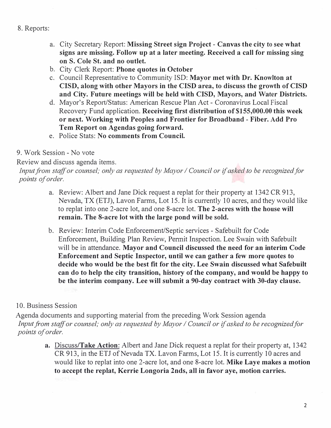## 8. Reports:

- a. City Secretary Report: **Missing Street sign Project - Canvas the city** to **see what signs are missing. Follow up at a later meeting. Received a call for missing sing on S. Cole St. and no outlet.**
- b. City Clerk Report: **Phone quotes in October**
- c. Council Representative to Community ISD: **Mayor met with Dr. Knowlton at CISD, along with other Mayors in the CISD area, to discuss the growth of CISD and City. Future meetings will be held with CISD, Mayors, and Water Districts.**
- d. Mayor's Report/Status: American Rescue Plan Act Coronavirus Local Fiscal Recovery Fund application. **Receiving first distribution of \$155,000.00 this week or next. Working with Peoples and Frontier for Broadband - Fiber. Add Pro Tern Report on Agendas going forward.**
- e. Police Stats: **No comments from Council.**

## 9. Work Session - No vote

Review and discuss agenda items.

*Input fi·om staff or counsel; only as requested by Mayor I Council or if asked to be recognized for points of order.* 

- a. Review: Albert and Jane Dick request a replat for their property at 1342 CR 913, Nevada, TX (ETJ), Lavon Farms, Lot 15. It is currently 10 acres, and they would like to replat into one 2-acre lot, and one 8-acre lot. **The 2-acres with the house will remain. The 8-acre lot with the large pond will be sold.**
- b. Review: Interim Code Enforcement/Septic services Safebuilt for Code Enforcement, Building Plan Review, Pennit Inspection. Lee Swain with Safebuilt will be in attendance. **Mayor and Council discussed the need for an interim Code Enforcement and Septic Inspector, until we can gather a few more quotes to decide who would be the best fit for the city. Lee Swain discussed what Safebuilt can do to help the city transition, history of the company, and would be happy to be the interim company. Lee will submit a 90-day contract with 30-day clause.**

## 10. Business Session

Agenda documents and supporting material from the preceding Work Session agenda *Input from staff or counsel; only as requested by Mayor / Council or if asked to be recognized for points of order.* 

> **a. Discuss/Take Action:** Albert and Jane Dick request a replat for their property at, 1342 CR 913, in the ETJ of Nevada TX. Lavon Farms, Lot 15. It is currently 10 acres and would like to replat into one 2-acre lot, and one 8-acre lot. **Mike Laye makes a motion to accept the replat, Kerrie Longoria 2nds, all in favor aye, motion carries.**